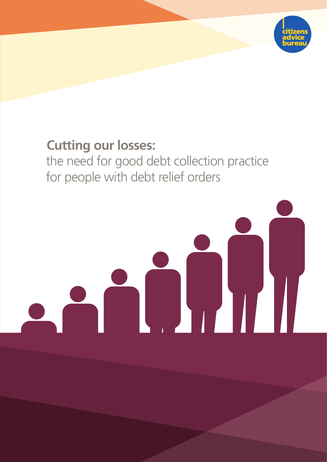

# **Cutting our losses:**

the need for good debt collection practice for people with debt relief orders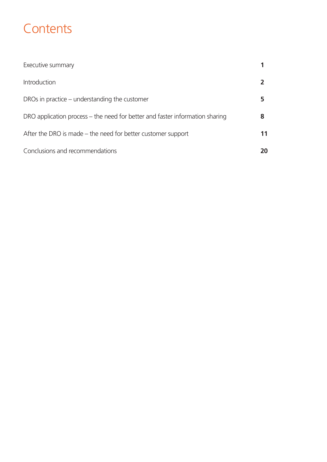# **Contents**

| Executive summary                                                            |    |
|------------------------------------------------------------------------------|----|
| Introduction                                                                 |    |
| DROs in practice $-$ understanding the customer                              |    |
| DRO application process – the need for better and faster information sharing | 8  |
| After the DRO is made $-$ the need for better customer support               | 11 |
| Conclusions and recommendations                                              | 20 |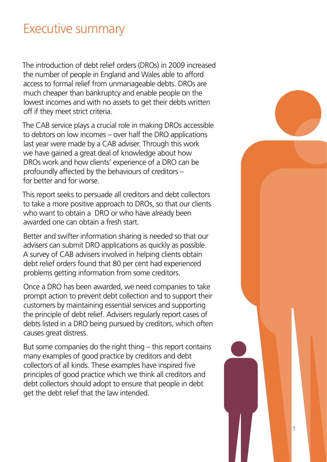# Executive summary

The introduction of debt relief orders (DROs) in 2009 increased the number of people in England and Wales able to afford access to formal relief from unmanageable debts. DROs are much cheaper than bankruptcy and enable people on the lowest incomes and with no assets to get their debts written off if they meet strict criteria.

The CAB service plays a crucial role in making DROs accessible to debtors on low incomes – over half the DRO applications last year were made by a CAB adviser. Through this work we have gained a great deal of knowledge about how DROs work and how clients' experience of a DRO can be profoundly affected by the behaviours of creditors – for better and for worse.

This report seeks to persuade all creditors and debt collectors to take a more positive approach to DROs, so that our clients who want to obtain a DRO or who have already been awarded one can obtain a fresh start.

Better and swifter information sharing is needed so that our advisers can submit DRO applications as quickly as possible. A survey of CAB advisers involved in helping clients obtain debt relief orders found that 80 per cent had experienced problems getting information from some creditors.

Once a DRO has been awarded, we need companies to take prompt action to prevent debt collection and to support their customers by maintaining essential services and supporting the principle of debt relief. Advisers regularly report cases of debts listed in a DRO being pursued by creditors, which often causes great distress.

But some companies do the right thing – this report contains many examples of good practice by creditors and debt collectors of all kinds. These examples have inspired five principles of good practice which we think all creditors and debt collectors should adopt to ensure that people in debt get the debt relief that the law intended.

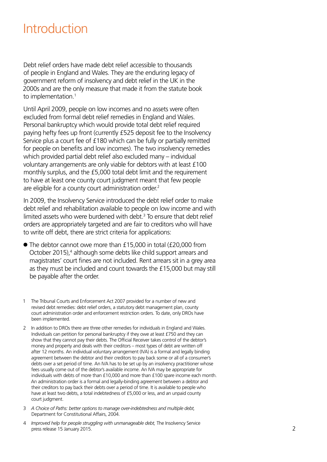# Introduction

Debt relief orders have made debt relief accessible to thousands of people in England and Wales. They are the enduring legacy of government reform of insolvency and debt relief in the UK in the 2000s and are the only measure that made it from the statute book to implementation.<sup>1</sup>

Until April 2009, people on low incomes and no assets were often excluded from formal debt relief remedies in England and Wales. Personal bankruptcy which would provide total debt relief required paying hefty fees up front (currently £525 deposit fee to the Insolvency Service plus a court fee of £180 which can be fully or partially remitted for people on benefits and low incomes). The two insolvency remedies which provided partial debt relief also excluded many – individual voluntary arrangements are only viable for debtors with at least £100 monthly surplus, and the £5,000 total debt limit and the requirement to have at least one county court judgment meant that few people are eligible for a county court administration order.2

In 2009, the Insolvency Service introduced the debt relief order to make debt relief and rehabilitation available to people on low income and with limited assets who were burdened with debt.<sup>3</sup> To ensure that debt relief orders are appropriately targeted and are fair to creditors who will have to write off debt, there are strict criteria for applications:

- The debtor cannot owe more than £15,000 in total (£20,000 from October 2015),<sup>4</sup> although some debts like child support arrears and magistrates' court fines are not included. Rent arrears sit in a grey area as they must be included and count towards the £15,000 but may still be payable after the order.
- 1 The Tribunal Courts and Enforcement Act 2007 provided for a number of new and revised debt remedies: debt relief orders, a statutory debt management plan, county court administration order and enforcement restriction orders. To date, only DROs have been implemented.
- 2 In addition to DROs there are three other remedies for individuals in England and Wales. Individuals can petition for personal bankruptcy if they owe at least £750 and they can show that they cannot pay their debts. The Official Receiver takes control of the debtor's money and property and deals with their creditors – most types of debt are written off after 12 months. An individual voluntary arrangement (IVA) is a formal and legally binding agreement between the debtor and their creditors to pay back some or all of a consumer's debts over a set period of time. An IVA has to be set up by an insolvency practitioner whose fees usually come out of the debtor's available income. An IVA may be appropriate for individuals with debts of more than £10,000 and more than £100 spare income each month. An administration order is a formal and legally-binding agreement between a debtor and their creditors to pay back their debts over a period of time. It is available to people who have at least two debts, a total indebtedness of £5,000 or less, and an unpaid county court judgment.
- 3 *A Choice of Paths: better options to manage over-indebtedness and multiple debt,* Department for Constitutional Affairs, 2004.
- 4 *Improved help for people struggling with unmanageable debt,* The Insolvency Service press release 15 January 2015.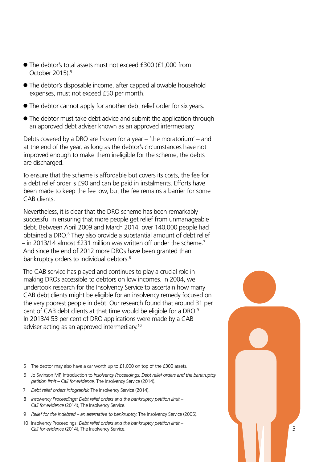- The debtor's total assets must not exceed £300 (£1,000 from October 2015).5
- The debtor's disposable income, after capped allowable household expenses, must not exceed £50 per month.
- The debtor cannot apply for another debt relief order for six years.
- The debtor must take debt advice and submit the application through an approved debt adviser known as an approved intermediary.

Debts covered by a DRO are frozen for a year – 'the moratorium' – and at the end of the year, as long as the debtor's circumstances have not improved enough to make them ineligible for the scheme, the debts are discharged.

To ensure that the scheme is affordable but covers its costs, the fee for a debt relief order is £90 and can be paid in instalments. Efforts have been made to keep the fee low, but the fee remains a barrier for some CAB clients.

Nevertheless, it is clear that the DRO scheme has been remarkably successful in ensuring that more people get relief from unmanageable debt. Between April 2009 and March 2014, over 140,000 people had obtained a DRO.<sup>6</sup> They also provide a substantial amount of debt relief  $-$  in 2013/14 almost £231 million was written off under the scheme.<sup>7</sup> And since the end of 2012 more DROs have been granted than bankruptcy orders to individual debtors.<sup>8</sup>

The CAB service has played and continues to play a crucial role in making DROs accessible to debtors on low incomes. In 2004, we undertook research for the Insolvency Service to ascertain how many CAB debt clients might be eligible for an insolvency remedy focused on the very poorest people in debt. Our research found that around 31 per cent of CAB debt clients at that time would be eligible for a DRO.9 In 2013/4 53 per cent of DRO applications were made by a CAB adviser acting as an approved intermediary.10

- 5 The debtor may also have a car worth up to £1,000 on top of the £300 assets.
- 6 Jo Swinson MP, Introduction to *Insolvency Proceedings: Debt relief orders and the bankruptcy petition limit – Call for evidence,* The Insolvency Service (2014).
- 7 *Debt relief orders infographic* The Insolvency Service (2014).
- 8 *Insolvency Proceedings: Debt relief orders and the bankruptcy petition limit Call for evidence* (2014), The Insolvency Service.
- 9 *Relief for the Indebted an alternative to bankruptcy,* The Insolvency Service (2005).
- 10 Insolvency Proceedings: *Debt relief orders and the bankruptcy petition limit*  **Call for evidence** (2014), The Insolvency Service. **3** 2 3 3 3 3 3 4 3 3 3 3 4 3 3 4 3 3 4 3 3 4 3 3 4 3 4 3 3 4 4 3 4 3 4 4 3 4 4  $\pm$

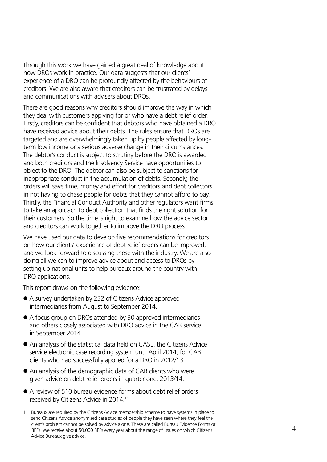Through this work we have gained a great deal of knowledge about how DROs work in practice. Our data suggests that our clients' experience of a DRO can be profoundly affected by the behaviours of creditors. We are also aware that creditors can be frustrated by delays and communications with advisers about DROs.

There are good reasons why creditors should improve the way in which they deal with customers applying for or who have a debt relief order. Firstly, creditors can be confident that debtors who have obtained a DRO have received advice about their debts. The rules ensure that DROs are targeted and are overwhelmingly taken up by people affected by longterm low income or a serious adverse change in their circumstances. The debtor's conduct is subject to scrutiny before the DRO is awarded and both creditors and the Insolvency Service have opportunities to object to the DRO. The debtor can also be subject to sanctions for inappropriate conduct in the accumulation of debts. Secondly, the orders will save time, money and effort for creditors and debt collectors in not having to chase people for debts that they cannot afford to pay. Thirdly, the Financial Conduct Authority and other regulators want firms to take an approach to debt collection that finds the right solution for their customers. So the time is right to examine how the advice sector and creditors can work together to improve the DRO process.

We have used our data to develop five recommendations for creditors on how our clients' experience of debt relief orders can be improved, and we look forward to discussing these with the industry. We are also doing all we can to improve advice about and access to DROs by setting up national units to help bureaux around the country with DRO applications.

This report draws on the following evidence:

- A survey undertaken by 232 of Citizens Advice approved intermediaries from August to September 2014.
- A focus group on DROs attended by 30 approved intermediaries and others closely associated with DRO advice in the CAB service in September 2014.
- An analysis of the statistical data held on CASE, the Citizens Advice service electronic case recording system until April 2014, for CAB clients who had successfully applied for a DRO in 2012/13.
- An analysis of the demographic data of CAB clients who were given advice on debt relief orders in quarter one, 2013/14.
- A review of 510 bureau evidence forms about debt relief orders received by Citizens Advice in 2014.11

<sup>11</sup> Bureaux are required by the Citizens Advice membership scheme to have systems in place to send Citizens Advice anonymised case studies of people they have seen where they feel the client's problem cannot be solved by advice alone. These are called Bureau Evidence Forms or BEFs. We receive about 50,000 BEFs every year about the range of issues on which Citizens Advice Bureaux give advice.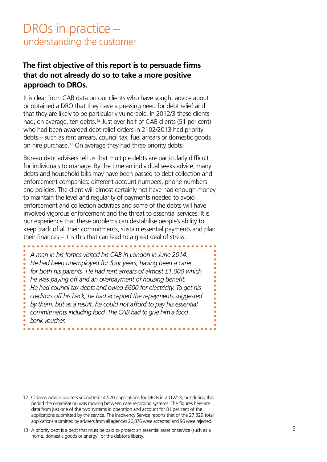## DROs in practice – understanding the customer

## **The first objective of this report is to persuade firms that do not already do so to take a more positive approach to DROs.**

It is clear from CAB data on our clients who have sought advice about or obtained a DRO that they have a pressing need for debt relief and that they are likely to be particularly vulnerable. In 2012/3 these clients had, on average, ten debts.<sup>12</sup> Just over half of CAB clients (51 per cent) who had been awarded debt relief orders in 2102/2013 had priority debts – such as rent arrears, council tax, fuel arrears or domestic goods on hire purchase.<sup>13</sup> On average they had three priority debts.

Bureau debt advisers tell us that multiple debts are particularly difficult for individuals to manage. By the time an individual seeks advice, many debts and household bills may have been passed to debt collection and enforcement companies: different account numbers, phone numbers and policies. The client will almost certainly not have had enough money to maintain the level and regularity of payments needed to avoid enforcement and collection activities and some of the debts will have involved vigorous enforcement and the threat to essential services. It is our experience that these problems can destabilise people's ability to keep track of all their commitments, sustain essential payments and plan their finances – it is this that can lead to a great deal of stress.

*A man in his forties visited his CAB in London in June 2014. He had been unemployed for four years, having been a carer for both his parents. He had rent arrears of almost £1,000 which he was paying off and an overpayment of housing benefit. He had council tax debts and owed £600 for electricity. To get his creditors off his back, he had accepted the repayments suggested by them, but as a result, he could not afford to pay his essential commitments including food. The CAB had to give him a food bank voucher.*

- 12 Citizens Advice advisers submitted 14,520 applications for DROs in 2012/13, but during this period the organisation was moving between case recording systems. The figures here are data from just one of the two systems in operation and account for 81 per cent of the applications submitted by the service. The Insolvency Service reports that of the 27,329 total applications submitted by advisers from all agencies 26,876 were accepted and 96 were rejected.
- 13 A priority debt is a debt that must be paid to protect an essential asset or service (such as a home, domestic goods or energy), or the debtor's liberty.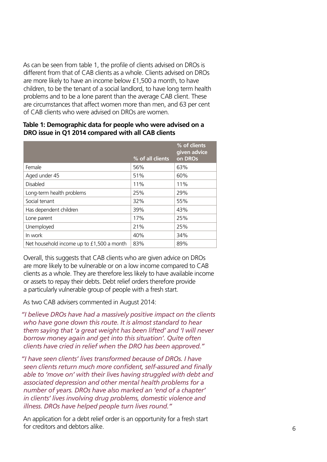As can be seen from table 1, the profile of clients advised on DROs is different from that of CAB clients as a whole. Clients advised on DROs are more likely to have an income below £1,500 a month, to have children, to be the tenant of a social landlord, to have long term health problems and to be a lone parent than the average CAB client. These are circumstances that affect women more than men, and 63 per cent of CAB clients who were advised on DROs are women.

|                                           | % of all clients | % of clients<br>given advice<br>on DROs |
|-------------------------------------------|------------------|-----------------------------------------|
| Female                                    | 56%              | 63%                                     |
| Aged under 45                             | 51%              | 60%                                     |
| <b>Disabled</b>                           | 11%              | 11%                                     |
| Long-term health problems                 | 25%              | 29%                                     |
| Social tenant                             | 32%              | 55%                                     |
| Has dependent children                    | 39%              | 43%                                     |
| Lone parent                               | 17%              | 25%                                     |
| Unemployed                                | 21%              | 25%                                     |
| In work                                   | 40%              | 34%                                     |
| Net household income up to £1,500 a month | 83%              | 89%                                     |

#### **Table 1: Demographic data for people who were advised on a DRO issue in Q1 2014 compared with all CAB clients**

Overall, this suggests that CAB clients who are given advice on DROs are more likely to be vulnerable or on a low income compared to CAB clients as a whole. They are therefore less likely to have available income or assets to repay their debts. Debt relief orders therefore provide a particularly vulnerable group of people with a fresh start.

As two CAB advisers commented in August 2014:

*"I believe DROs have had a massively positive impact on the clients who have gone down this route. It is almost standard to hear them saying that 'a great weight has been lifted' and 'I will never borrow money again and get into this situation'. Quite often clients have cried in relief when the DRO has been approved."*

*"I have seen clients' lives transformed because of DROs. I have seen clients return much more confident, self-assured and finally able to 'move on' with their lives having struggled with debt and associated depression and other mental health problems for a number of years. DROs have also marked an 'end of a chapter' in clients' lives involving drug problems, domestic violence and illness. DROs have helped people turn lives round."* 

An application for a debt relief order is an opportunity for a fresh start for creditors and debtors alike.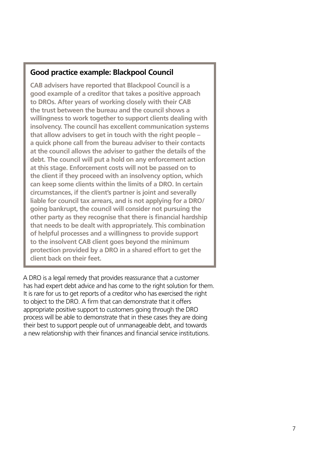#### **Good practice example: Blackpool Council**

**CAB advisers have reported that Blackpool Council is a good example of a creditor that takes a positive approach to DROs. After years of working closely with their CAB the trust between the bureau and the council shows a willingness to work together to support clients dealing with insolvency. The council has excellent communication systems that allow advisers to get in touch with the right people – a quick phone call from the bureau adviser to their contacts at the council allows the adviser to gather the details of the debt. The council will put a hold on any enforcement action at this stage. Enforcement costs will not be passed on to the client if they proceed with an insolvency option, which can keep some clients within the limits of a DRO. In certain circumstances, if the client's partner is joint and severally liable for council tax arrears, and is not applying for a DRO/ going bankrupt, the council will consider not pursuing the other party as they recognise that there is financial hardship that needs to be dealt with appropriately. This combination of helpful processes and a willingness to provide support to the insolvent CAB client goes beyond the minimum protection provided by a DRO in a shared effort to get the client back on their feet.**

A DRO is a legal remedy that provides reassurance that a customer has had expert debt advice and has come to the right solution for them. It is rare for us to get reports of a creditor who has exercised the right to object to the DRO. A firm that can demonstrate that it offers appropriate positive support to customers going through the DRO process will be able to demonstrate that in these cases they are doing their best to support people out of unmanageable debt, and towards a new relationship with their finances and financial service institutions.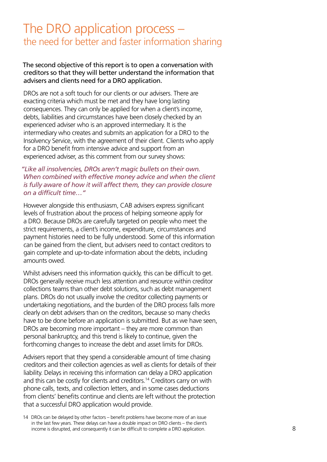## The DRO application process – the need for better and faster information sharing

#### The second objective of this report is to open a conversation with creditors so that they will better understand the information that advisers and clients need for a DRO application.

DROs are not a soft touch for our clients or our advisers. There are exacting criteria which must be met and they have long lasting consequences. They can only be applied for when a client's income, debts, liabilities and circumstances have been closely checked by an experienced adviser who is an approved intermediary. It is the intermediary who creates and submits an application for a DRO to the Insolvency Service, with the agreement of their client. Clients who apply for a DRO benefit from intensive advice and support from an experienced adviser, as this comment from our survey shows:

#### *"Like all insolvencies, DROs aren't magic bullets on their own. When combined with effective money advice and when the client is fully aware of how it will affect them, they can provide closure on a difficult time…"*

However alongside this enthusiasm, CAB advisers express significant levels of frustration about the process of helping someone apply for a DRO. Because DROs are carefully targeted on people who meet the strict requirements, a client's income, expenditure, circumstances and payment histories need to be fully understood. Some of this information can be gained from the client, but advisers need to contact creditors to gain complete and up-to-date information about the debts, including amounts owed.

Whilst advisers need this information quickly, this can be difficult to get. DROs generally receive much less attention and resource within creditor collections teams than other debt solutions, such as debt management plans. DROs do not usually involve the creditor collecting payments or undertaking negotiations, and the burden of the DRO process falls more clearly on debt advisers than on the creditors, because so many checks have to be done before an application is submitted. But as we have seen, DROs are becoming more important – they are more common than personal bankruptcy, and this trend is likely to continue, given the forthcoming changes to increase the debt and asset limits for DROs.

Advisers report that they spend a considerable amount of time chasing creditors and their collection agencies as well as clients for details of their liability. Delays in receiving this information can delay a DRO application and this can be costly for clients and creditors.<sup>14</sup> Creditors carry on with phone calls, texts, and collection letters, and in some cases deductions from clients' benefits continue and clients are left without the protection that a successful DRO application would provide.

14 DROs can be delayed by other factors – benefit problems have become more of an issue in the last few years. These delays can have a double impact on DRO clients – the client's income is disrupted, and consequently it can be difficult to complete a DRO application.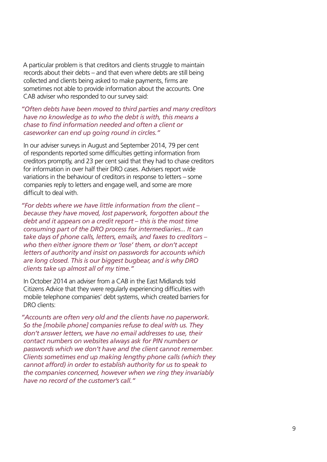A particular problem is that creditors and clients struggle to maintain records about their debts – and that even where debts are still being collected and clients being asked to make payments, firms are sometimes not able to provide information about the accounts. One CAB adviser who responded to our survey said:

*"Often debts have been moved to third parties and many creditors have no knowledge as to who the debt is with, this means a chase to find information needed and often a client or caseworker can end up going round in circles."*

In our adviser surveys in August and September 2014, 79 per cent of respondents reported some difficulties getting information from creditors promptly, and 23 per cent said that they had to chase creditors for information in over half their DRO cases. Advisers report wide variations in the behaviour of creditors in response to letters – some companies reply to letters and engage well, and some are more difficult to deal with.

*"For debts where we have little information from the client – because they have moved, lost paperwork, forgotten about the debt and it appears on a credit report – this is the most time consuming part of the DRO process for intermediaries... It can take days of phone calls, letters, emails, and faxes to creditors – who then either ignore them or 'lose' them, or don't accept letters of authority and insist on passwords for accounts which are long closed. This is our biggest bugbear, and is why DRO clients take up almost all of my time."*

In October 2014 an adviser from a CAB in the East Midlands told Citizens Advice that they were regularly experiencing difficulties with mobile telephone companies' debt systems, which created barriers for DRO clients:

*"Accounts are often very old and the clients have no paperwork. So the [mobile phone] companies refuse to deal with us. They don't answer letters, we have no email addresses to use, their contact numbers on websites always ask for PIN numbers or passwords which we don't have and the client cannot remember. Clients sometimes end up making lengthy phone calls (which they cannot afford) in order to establish authority for us to speak to the companies concerned, however when we ring they invariably have no record of the customer's call."*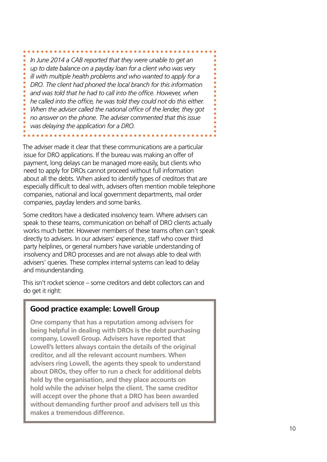*In June 2014 a CAB reported that they were unable to get an up to date balance on a payday loan for a client who was very ill with multiple health problems and who wanted to apply for a DRO. The client had phoned the local branch for this information and was told that he had to call into the office. However, when he called into the office, he was told they could not do this either. When the adviser called the national office of the lender, they got no answer on the phone. The adviser commented that this issue was delaying the application for a DRO.*

The adviser made it clear that these communications are a particular issue for DRO applications. If the bureau was making an offer of payment, long delays can be managed more easily, but clients who need to apply for DROs cannot proceed without full information about all the debts. When asked to identify types of creditors that are especially difficult to deal with, advisers often mention mobile telephone companies, national and local government departments, mail order companies, payday lenders and some banks.

Some creditors have a dedicated insolvency team. Where advisers can speak to these teams, communication on behalf of DRO clients actually works much better. However members of these teams often can't speak directly to advisers. In our advisers' experience, staff who cover third party helplines, or general numbers have variable understanding of insolvency and DRO processes and are not always able to deal with advisers' queries. These complex internal systems can lead to delay and misunderstanding.

This isn't rocket science – some creditors and debt collectors can and do get it right:

### **Good practice example: Lowell Group**

**One company that has a reputation among advisers for being helpful in dealing with DROs is the debt purchasing company, Lowell Group. Advisers have reported that Lowell's letters always contain the details of the original creditor, and all the relevant account numbers. When advisers ring Lowell, the agents they speak to understand about DROs, they offer to run a check for additional debts held by the organisation, and they place accounts on hold while the adviser helps the client. The same creditor will accept over the phone that a DRO has been awarded without demanding further proof and advisers tell us this makes a tremendous difference.**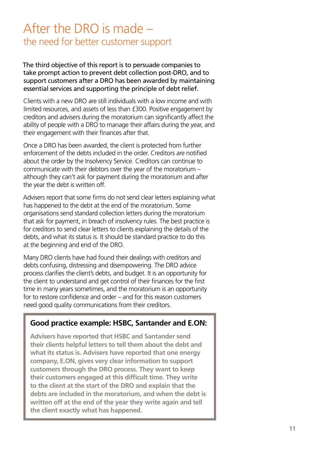## After the DRO is made – the need for better customer support

The third objective of this report is to persuade companies to take prompt action to prevent debt collection post-DRO, and to support customers after a DRO has been awarded by maintaining essential services and supporting the principle of debt relief.

Clients with a new DRO are still individuals with a low income and with limited resources, and assets of less than £300. Positive engagement by creditors and advisers during the moratorium can significantly affect the ability of people with a DRO to manage their affairs during the year, and their engagement with their finances after that.

Once a DRO has been awarded, the client is protected from further enforcement of the debts included in the order. Creditors are notified about the order by the Insolvency Service. Creditors can continue to communicate with their debtors over the year of the moratorium – although they can't ask for payment during the moratorium and after the year the debt is written off.

Advisers report that some firms do not send clear letters explaining what has happened to the debt at the end of the moratorium. Some organisations send standard collection letters during the moratorium that ask for payment, in breach of insolvency rules. The best practice is for creditors to send clear letters to clients explaining the details of the debts, and what its status is. It should be standard practice to do this at the beginning and end of the DRO.

Many DRO clients have had found their dealings with creditors and debts confusing, distressing and disempowering. The DRO advice process clarifies the client's debts, and budget. It is an opportunity for the client to understand and get control of their finances for the first time in many years sometimes, and the moratorium is an opportunity for to restore confidence and order – and for this reason customers need good quality communications from their creditors.

## **Good practice example: HSBC, Santander and E.ON:**

**Advisers have reported that HSBC and Santander send their clients helpful letters to tell them about the debt and what its status is. Advisers have reported that one energy company, E.ON, gives very clear information to support customers through the DRO process. They want to keep their customers engaged at this difficult time. They write to the client at the start of the DRO and explain that the debts are included in the moratorium, and when the debt is written off at the end of the year they write again and tell the client exactly what has happened.**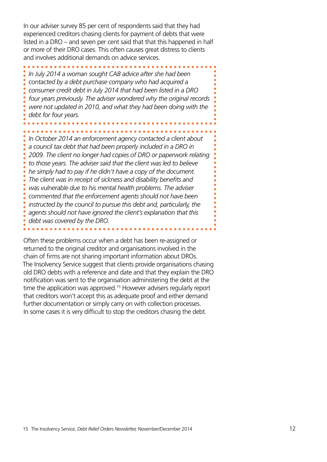In our adviser survey 85 per cent of respondents said that they had experienced creditors chasing clients for payment of debts that were listed in a DRO – and seven per cent said that that this happened in half or more of their DRO cases. This often causes great distress to clients and involves additional demands on advice services.

*In July 2014 a woman sought CAB advice after she had been contacted by a debt purchase company who had acquired a consumer credit debt in July 2014 that had been listed in a DRO four years previously. The adviser wondered why the original records were not updated in 2010, and what they had been doing with the debt for four years.* 

*In October 2014 an enforcement agency contacted a client about a council tax debt that had been properly included in a DRO in 2009. The client no longer had copies of DRO or paperwork relating to those years. The adviser said that the client was led to believe he simply had to pay if he didn't have a copy of the document. The client was in receipt of sickness and disability benefits and was vulnerable due to his mental health problems. The adviser commented that the enforcement agents should not have been instructed by the council to pursue this debt and, particularly, the agents should not have ignored the client's explanation that this debt was covered by the DRO.* 

Often these problems occur when a debt has been re-assigned or returned to the original creditor and organisations involved in the chain of firms are not sharing important information about DROs. The Insolvency Service suggest that clients provide organisations chasing old DRO debts with a reference and date and that they explain the DRO notification was sent to the organisation administering the debt at the time the application was approved.<sup>15</sup> However advisers regularly report that creditors won't accept this as adequate proof and either demand further documentation or simply carry on with collection processes. In some cases it is very difficult to stop the creditors chasing the debt.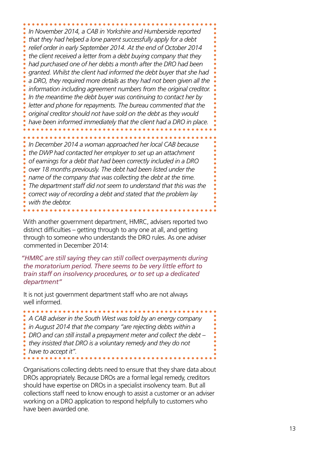*In November 2014, a CAB in Yorkshire and Humberside reported that they had helped a lone parent successfully apply for a debt relief order in early September 2014. At the end of October 2014 the client received a letter from a debt buying company that they had purchased one of her debts a month after the DRO had been granted. Whilst the client had informed the debt buyer that she had a DRO, they required more details as they had not been given all the information including agreement numbers from the original creditor. In the meantime the debt buyer was continuing to contact her by letter and phone for repayments. The bureau commented that the original creditor should not have sold on the debt as they would have been informed immediately that the client had a DRO in place.*

*In December 2014 a woman approached her local CAB because the DWP had contacted her employer to set up an attachment of earnings for a debt that had been correctly included in a DRO over 18 months previously. The debt had been listed under the name of the company that was collecting the debt at the time. The department staff did not seem to understand that this was the correct way of recording a debt and stated that the problem lay with the debtor.*

With another government department, HMRC, advisers reported two distinct difficulties – getting through to any one at all, and getting through to someone who understands the DRO rules. As one adviser commented in December 2014:

*"HMRC are still saying they can still collect overpayments during the moratorium period. There seems to be very little effort to train staff on insolvency procedures, or to set up a dedicated department"*

It is not just government department staff who are not always well informed.

*A CAB adviser in the South West was told by an energy company in August 2014 that the company "are rejecting debts within a DRO and can still install a prepayment meter and collect the debt – they insisted that DRO is a voluntary remedy and they do not have to accept it".*

Organisations collecting debts need to ensure that they share data about DROs appropriately. Because DROs are a formal legal remedy, creditors should have expertise on DROs in a specialist insolvency team. But all collections staff need to know enough to assist a customer or an adviser working on a DRO application to respond helpfully to customers who have been awarded one.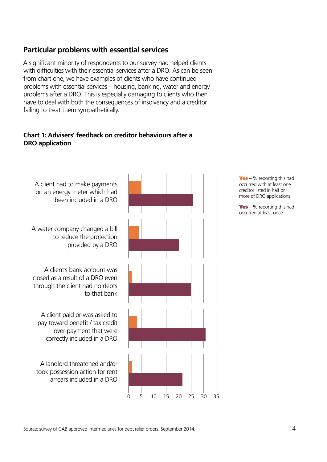### **Particular problems with essential services**

A significant minority of respondents to our survey had helped clients with difficulties with their essential services after a DRO. As can be seen from chart one, we have examples of clients who have continued problems with essential services – housing, banking, water and energy problems after a DRO. This is especially damaging to clients who then have to deal with both the consequences of insolvency and a creditor failing to treat them sympathetically.

#### **Chart 1: Advisers' feedback on creditor behaviours after a DRO application**



 $Yes - %$  reporting this had occurred with at least one creditor listed in half or more of DRO applications

**Yes** –  $%$  reporting this had occurred at least once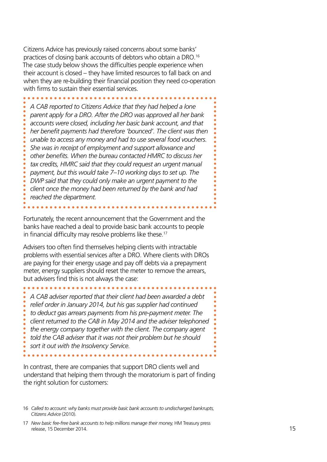Citizens Advice has previously raised concerns about some banks' practices of closing bank accounts of debtors who obtain a DRO.16 The case study below shows the difficulties people experience when their account is closed – they have limited resources to fall back on and when they are re-building their financial position they need co-operation with firms to sustain their essential services.

*A CAB reported to Citizens Advice that they had helped a lone parent apply for a DRO. After the DRO was approved all her bank accounts were closed, including her basic bank account, and that her benefit payments had therefore 'bounced'. The client was then unable to access any money and had to use several food vouchers. She was in receipt of employment and support allowance and other benefits. When the bureau contacted HMRC to discuss her tax credits, HMRC said that they could request an urgent manual payment, but this would take 7–10 working days to set up. The DWP said that they could only make an urgent payment to the client once the money had been returned by the bank and had reached the department.*

Fortunately, the recent announcement that the Government and the banks have reached a deal to provide basic bank accounts to people in financial difficulty may resolve problems like these.<sup>17</sup>

Advisers too often find themselves helping clients with intractable problems with essential services after a DRO. Where clients with DROs are paying for their energy usage and pay off debts via a prepayment meter, energy suppliers should reset the meter to remove the arrears, but advisers find this is not always the case:

*A CAB adviser reported that their client had been awarded a debt relief order in January 2014, but his gas supplier had continued to deduct gas arrears payments from his pre-payment meter. The client returned to the CAB in May 2014 and the adviser telephoned the energy company together with the client. The company agent told the CAB adviser that it was not their problem but he should sort it out with the Insolvency Service.*

In contrast, there are companies that support DRO clients well and understand that helping them through the moratorium is part of finding the right solution for customers:

<sup>16</sup> *Called to account: why banks must provide basic bank accounts to undischarged bankrupts, Citizens Advice* (2010).

<sup>17</sup> *New basic fee-free bank accounts to help millions manage their money,* HM Treasury press release, 15 December 2014. 15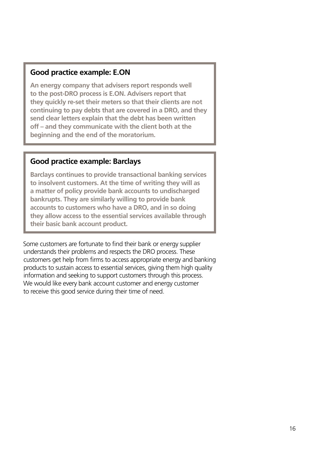#### **Good practice example: E.ON**

**An energy company that advisers report responds well to the post-DRO process is E.ON. Advisers report that they quickly re-set their meters so that their clients are not continuing to pay debts that are covered in a DRO, and they send clear letters explain that the debt has been written off – and they communicate with the client both at the beginning and the end of the moratorium.** 

### **Good practice example: Barclays**

**Barclays continues to provide transactional banking services to insolvent customers. At the time of writing they will as a matter of policy provide bank accounts to undischarged bankrupts. They are similarly willing to provide bank accounts to customers who have a DRO, and in so doing they allow access to the essential services available through their basic bank account product.** 

Some customers are fortunate to find their bank or energy supplier understands their problems and respects the DRO process. These customers get help from firms to access appropriate energy and banking products to sustain access to essential services, giving them high quality information and seeking to support customers through this process. We would like every bank account customer and energy customer to receive this good service during their time of need.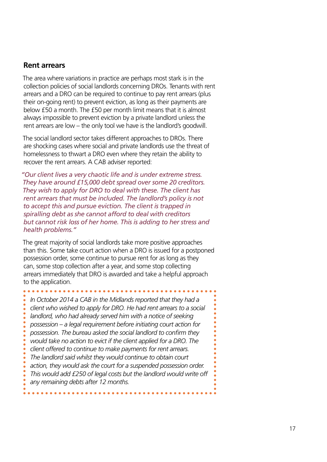#### **Rent arrears**

**AAAAAAAA** 

 $\bullet$ 

The area where variations in practice are perhaps most stark is in the collection policies of social landlords concerning DROs. Tenants with rent arrears and a DRO can be required to continue to pay rent arrears (plus their on-going rent) to prevent eviction, as long as their payments are below £50 a month. The £50 per month limit means that it is almost always impossible to prevent eviction by a private landlord unless the rent arrears are low – the only tool we have is the landlord's goodwill.

The social landlord sector takes different approaches to DROs. There are shocking cases where social and private landlords use the threat of homelessness to thwart a DRO even where they retain the ability to recover the rent arrears. A CAB adviser reported:

*"Our client lives a very chaotic life and is under extreme stress. They have around £15,000 debt spread over some 20 creditors. They wish to apply for DRO to deal with these. The client has rent arrears that must be included. The landlord's policy is not to accept this and pursue eviction. The client is trapped in spiralling debt as she cannot afford to deal with creditors but cannot risk loss of her home. This is adding to her stress and health problems."*

The great majority of social landlords take more positive approaches than this. Some take court action when a DRO is issued for a postponed possession order, some continue to pursue rent for as long as they can, some stop collection after a year, and some stop collecting arrears immediately that DRO is awarded and take a helpful approach to the application.

*In October 2014 a CAB in the Midlands reported that they had a client who wished to apply for DRO. He had rent arrears to a social*  landlord, who had already served him with a notice of seeking *possession – a legal requirement before initiating court action for possession. The bureau asked the social landlord to confirm they would take no action to evict if the client applied for a DRO. The client offered to continue to make payments for rent arrears. The landlord said whilst they would continue to obtain court action, they would ask the court for a suspended possession order. This would add £250 of legal costs but the landlord would write off any remaining debts after 12 months.*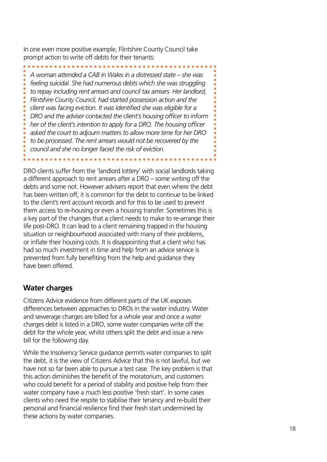In one even more positive example, Flintshire County Council take prompt action to write off debts for their tenants:

*A woman attended a CAB in Wales in a distressed state – she was feeling suicidal. She had numerous debts which she was struggling to repay including rent arrears and council tax arrears. Her landlord, Flintshire County Council, had started possession action and the client was facing eviction. It was identified she was eligible for a DRO and the adviser contacted the client's housing officer to inform her of the client's intention to apply for a DRO. The housing officer asked the court to adjourn matters to allow more time for her DRO*  to be processed. The rent arrears would not be recovered by the *council and she no longer faced the risk of eviction.* 

DRO clients suffer from the 'landlord lottery' with social landlords taking a different approach to rent arrears after a DRO – some writing off the debts and some not. However advisers report that even where the debt has been written off, it is common for the debt to continue to be linked to the client's rent account records and for this to be used to prevent them access to re-housing or even a housing transfer. Sometimes this is a key part of the changes that a client needs to make to re-arrange their life post-DRO. It can lead to a client remaining trapped in the housing situation or neighbourhood associated with many of their problems, or inflate their housing costs. It is disappointing that a client who has had so much investment in time and help from an advice service is prevented from fully benefiting from the help and guidance they have been offered.

### **Water charges**

Citizens Advice evidence from different parts of the UK exposes differences between approaches to DROs in the water industry. Water and sewerage charges are billed for a whole year and once a water charges debt is listed in a DRO, some water companies write off the debt for the whole year, whilst others split the debt and issue a new bill for the following day.

While the Insolvency Service guidance permits water companies to split the debt, it is the view of Citizens Advice that this is not lawful, but we have not so far been able to pursue a test case. The key problem is that this action diminishes the benefit of the moratorium, and customers who could benefit for a period of stability and positive help from their water company have a much less positive 'fresh start'. In some cases clients who need the respite to stabilise their tenancy and re-build their personal and financial resilience find their fresh start undermined by these actions by water companies.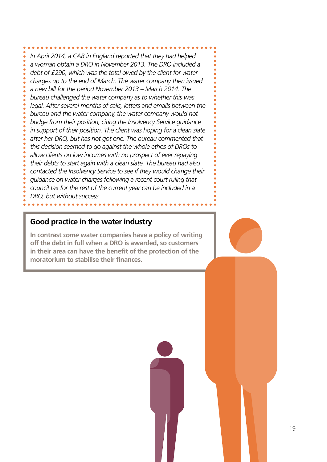*In April 2014, a CAB in England reported that they had helped a woman obtain a DRO in November 2013. The DRO included a debt of £290, which was the total owed by the client for water charges up to the end of March. The water company then issued a new bill for the period November 2013 – March 2014. The bureau challenged the water company as to whether this was*  legal. After several months of calls, letters and emails between the *bureau and the water company, the water company would not budge from their position, citing the Insolvency Service guidance in support of their position. The client was hoping for a clean slate after her DRO, but has not got one. The bureau commented that this decision seemed to go against the whole ethos of DROs to allow clients on low incomes with no prospect of ever repaying their debts to start again with a clean slate. The bureau had also contacted the Insolvency Service to see if they would change their guidance on water charges following a recent court ruling that council tax for the rest of the current year can be included in a DRO, but without success.*

#### **Good practice in the water industry**

**In contrast** *some* **water companies have a policy of writing off the debt in full when a DRO is awarded, so customers in their area can have the benefit of the protection of the moratorium to stabilise their finances.**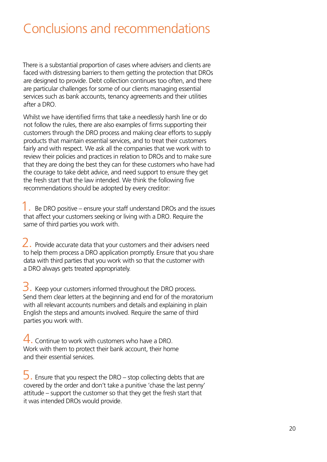# Conclusions and recommendations

There is a substantial proportion of cases where advisers and clients are faced with distressing barriers to them getting the protection that DROs are designed to provide. Debt collection continues too often, and there are particular challenges for some of our clients managing essential services such as bank accounts, tenancy agreements and their utilities after a DRO.

Whilst we have identified firms that take a needlessly harsh line or do not follow the rules, there are also examples of firms supporting their customers through the DRO process and making clear efforts to supply products that maintain essential services, and to treat their customers fairly and with respect. We ask all the companies that we work with to review their policies and practices in relation to DROs and to make sure that they are doing the best they can for these customers who have had the courage to take debt advice, and need support to ensure they get the fresh start that the law intended. We think the following five recommendations should be adopted by every creditor:

1. Be DRO positive – ensure your staff understand DROs and the issues that affect your customers seeking or living with a DRO. Require the same of third parties you work with.

2. Provide accurate data that your customers and their advisers need to help them process a DRO application promptly. Ensure that you share data with third parties that you work with so that the customer with a DRO always gets treated appropriately.

 $\overline{3}$ . Keep your customers informed throughout the DRO process. Send them clear letters at the beginning and end for of the moratorium with all relevant accounts numbers and details and explaining in plain English the steps and amounts involved. Require the same of third parties you work with.

4. Continue to work with customers who have a DRO. Work with them to protect their bank account, their home and their essential services.

 $\overline{5}$ . Ensure that you respect the DRO – stop collecting debts that are covered by the order and don't take a punitive 'chase the last penny' attitude – support the customer so that they get the fresh start that it was intended DROs would provide.